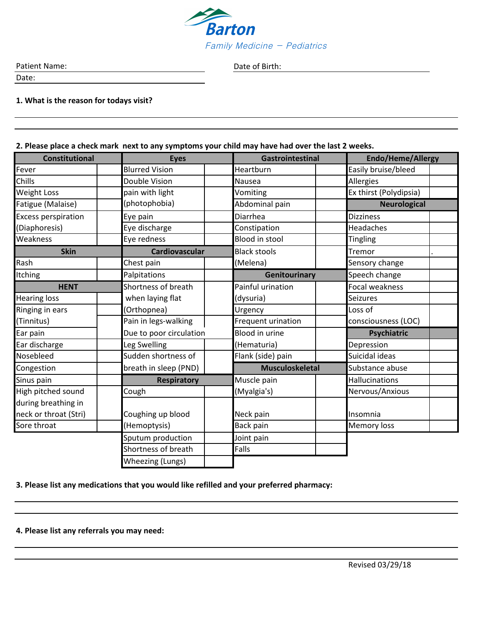

Date of Birth:

Patient Name:

Date:

**1. What is the reason for todays visit?**

## **2. Please place a check mark next to any symptoms your child may have had over the last 2 weeks.**

| <b>Constitutional</b>      | <b>Eyes</b>             | Gastrointestinal       | <b>Endo/Heme/Allergy</b> |
|----------------------------|-------------------------|------------------------|--------------------------|
| Fever                      | <b>Blurred Vision</b>   | Heartburn              | Easily bruise/bleed      |
| Chills                     | Double Vision           | Nausea                 | Allergies                |
| <b>Weight Loss</b>         | pain with light         | Vomiting               | Ex thirst (Polydipsia)   |
| Fatigue (Malaise)          | (photophobia)           | Abdominal pain         | <b>Neurological</b>      |
| <b>Excess perspiration</b> | Eye pain                | Diarrhea               | <b>Dizziness</b>         |
| (Diaphoresis)              | Eye discharge           | Constipation           | Headaches                |
| Weakness                   | Eye redness             | <b>Blood in stool</b>  | <b>Tingling</b>          |
| <b>Skin</b>                | <b>Cardiovascular</b>   | <b>Black stools</b>    | Tremor                   |
| Rash                       | Chest pain              | (Melena)               | Sensory change           |
| Itching                    | Palpitations            | Genitourinary          | Speech change            |
| <b>HENT</b>                | Shortness of breath     | Painful urination      | Focal weakness           |
| <b>Hearing loss</b>        | when laying flat        | (dysuria)              | Seizures                 |
| Ringing in ears            | (Orthopnea)             | Urgency                | Loss of                  |
| (Tinnitus)                 | Pain in legs-walking    | Frequent urination     | consciousness (LOC)      |
| Ear pain                   | Due to poor circulation | <b>Blood in urine</b>  | <b>Psychiatric</b>       |
| Ear discharge              | Leg Swelling            | (Hematuria)            | Depression               |
| Nosebleed                  | Sudden shortness of     | Flank (side) pain      | Suicidal ideas           |
| Congestion                 | breath in sleep (PND)   | <b>Musculoskeletal</b> | Substance abuse          |
| Sinus pain                 | <b>Respiratory</b>      | Muscle pain            | <b>Hallucinations</b>    |
| High pitched sound         | Cough                   | (Myalgia's)            | Nervous/Anxious          |
| during breathing in        |                         |                        |                          |
| neck or throat (Stri)      | Coughing up blood       | Neck pain              | Insomnia                 |
| Sore throat                | (Hemoptysis)            | <b>Back pain</b>       | Memory loss              |
|                            | Sputum production       | Joint pain             |                          |
|                            | Shortness of breath     | Falls                  |                          |
|                            | Wheezing (Lungs)        |                        |                          |

**3. Please list any medications that you would like refilled and your preferred pharmacy:**

**4. Please list any referrals you may need:**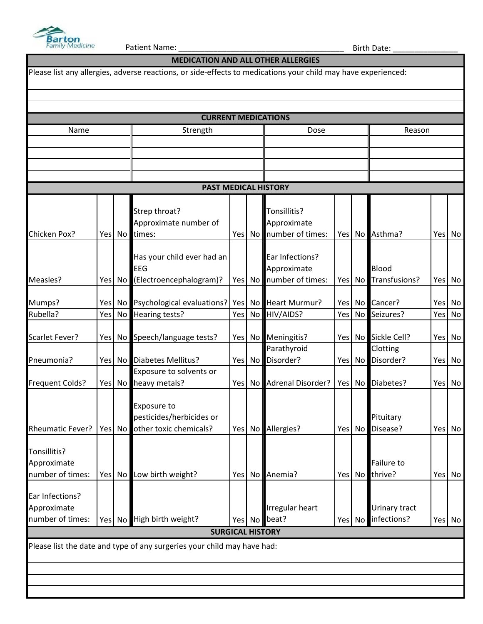

Г

Patient Name: \_\_\_\_\_\_\_\_\_\_\_\_\_\_\_\_\_\_\_\_\_\_\_\_\_\_\_\_\_\_\_\_\_\_\_\_\_\_ Birth Date: \_\_\_\_\_\_\_\_\_\_\_\_\_\_\_

| <b>MEDICATION AND ALL OTHER ALLERGIES</b>                                                                     |        |              |                                                                         |                  |          |                            |            |                 |                      |            |          |
|---------------------------------------------------------------------------------------------------------------|--------|--------------|-------------------------------------------------------------------------|------------------|----------|----------------------------|------------|-----------------|----------------------|------------|----------|
| Please list any allergies, adverse reactions, or side-effects to medications your child may have experienced: |        |              |                                                                         |                  |          |                            |            |                 |                      |            |          |
|                                                                                                               |        |              |                                                                         |                  |          |                            |            |                 |                      |            |          |
| <b>CURRENT MEDICATIONS</b>                                                                                    |        |              |                                                                         |                  |          |                            |            |                 |                      |            |          |
| Strength<br>Name<br>Dose<br>Reason                                                                            |        |              |                                                                         |                  |          |                            |            |                 |                      |            |          |
|                                                                                                               |        |              |                                                                         |                  |          |                            |            |                 |                      |            |          |
|                                                                                                               |        |              |                                                                         |                  |          |                            |            |                 |                      |            |          |
|                                                                                                               |        |              |                                                                         |                  |          |                            |            |                 |                      |            |          |
|                                                                                                               |        |              | <b>PAST MEDICAL HISTORY</b>                                             |                  |          |                            |            |                 |                      |            |          |
|                                                                                                               |        |              |                                                                         |                  |          |                            |            |                 |                      |            |          |
|                                                                                                               |        |              | Strep throat?                                                           |                  |          | Tonsillitis?               |            |                 |                      |            |          |
|                                                                                                               |        |              | Approximate number of                                                   |                  |          | Approximate                |            |                 |                      |            |          |
| Chicken Pox?                                                                                                  |        | Yes No       | times:                                                                  | Yes <sup> </sup> | No       | number of times:           | Yesl       | No              | Asthma?              | Yes        | No       |
|                                                                                                               |        |              | Has your child ever had an                                              |                  |          | Ear Infections?            |            |                 |                      |            |          |
|                                                                                                               |        |              | <b>EEG</b>                                                              |                  |          | Approximate                |            |                 | Blood                |            |          |
| Measles?                                                                                                      | Yes No |              | (Electroencephalogram)?                                                 | Yes              | No       | number of times:           | Yes No     |                 | Transfusions?        | Yes        | No       |
|                                                                                                               |        |              |                                                                         |                  |          |                            |            |                 |                      |            |          |
| Mumps?<br>Rubella?                                                                                            | Yes    | Yes No<br>No | Psychological evaluations?   Yes<br>Hearing tests?                      | Yes              | No<br>No | Heart Murmur?<br>HIV/AIDS? | Yes<br>Yes | No<br><b>No</b> | Cancer?<br>Seizures? | Yes<br>Yes | No<br>No |
|                                                                                                               |        |              |                                                                         |                  |          |                            |            |                 |                      |            |          |
| Scarlet Fever?                                                                                                | Yes    | No l         | Speech/language tests?                                                  | Yes              | No       | Meningitis?                | Yes        | <b>No</b>       | Sickle Cell?         | Yes        | No       |
|                                                                                                               |        |              |                                                                         |                  |          | Parathyroid                |            |                 | Clotting             |            |          |
| Pneumonia?                                                                                                    |        | Yes No       | <b>Diabetes Mellitus?</b><br>Exposure to solvents or                    | Yes              | No       | Disorder?                  |            | Yes No          | Disorder?            | Yes No     |          |
| <b>Frequent Colds?</b>                                                                                        | Yes No |              | heavy metals?                                                           | Yes              | No       | <b>Adrenal Disorder?</b>   | Yes        | No              | Diabetes?            | Yes        | No       |
|                                                                                                               |        |              |                                                                         |                  |          |                            |            |                 |                      |            |          |
|                                                                                                               |        |              | Exposure to                                                             |                  |          |                            |            |                 |                      |            |          |
|                                                                                                               |        |              | pesticides/herbicides or                                                |                  |          |                            |            |                 | Pituitary            |            |          |
| <b>Rheumatic Fever?</b>                                                                                       |        | Yes No       | other toxic chemicals?                                                  |                  | Yes No   | Allergies?                 |            | Yes No          | Disease?             | Yes        | No       |
| Tonsillitis?                                                                                                  |        |              |                                                                         |                  |          |                            |            |                 |                      |            |          |
| Approximate                                                                                                   |        |              |                                                                         |                  |          |                            |            |                 | Failure to           |            |          |
| number of times:                                                                                              |        | Yes No       | Low birth weight?                                                       |                  | Yes No   | Anemia?                    |            | Yes No          | thrive?              | Yes        | No       |
| Ear Infections?                                                                                               |        |              |                                                                         |                  |          |                            |            |                 |                      |            |          |
| Approximate                                                                                                   |        |              |                                                                         |                  |          | Irregular heart            |            |                 | Urinary tract        |            |          |
| number of times:                                                                                              |        | Yes No       | High birth weight?                                                      |                  | Yes No   | beat?                      |            | Yes No          | infections?          | Yes No     |          |
|                                                                                                               |        |              | <b>SURGICAL HISTORY</b>                                                 |                  |          |                            |            |                 |                      |            |          |
|                                                                                                               |        |              | Please list the date and type of any surgeries your child may have had: |                  |          |                            |            |                 |                      |            |          |
|                                                                                                               |        |              |                                                                         |                  |          |                            |            |                 |                      |            |          |
|                                                                                                               |        |              |                                                                         |                  |          |                            |            |                 |                      |            |          |
|                                                                                                               |        |              |                                                                         |                  |          |                            |            |                 |                      |            |          |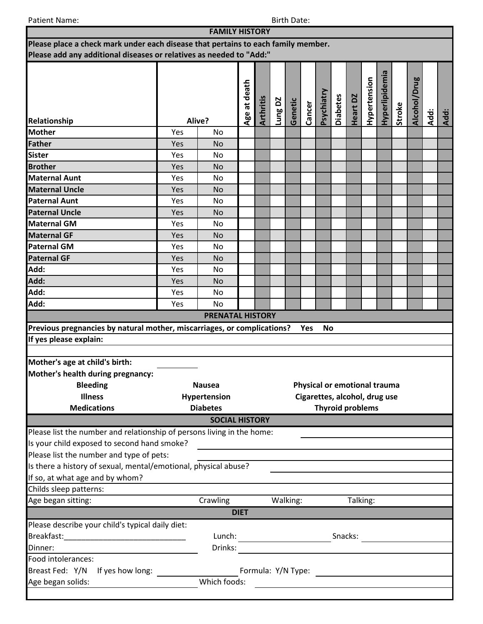Patient Name: Birth Date: Birth Date: Birth Date: Birth Date: Birth Date: Birth Date: Birth Date: Birth Date: Birth Date: Birth Date: Birth Date: Birth Date: Birth Date: Birth Date: Birth Date: Birth Date: Birth Date: Birt

|                                                                                   |            | <b>FAMILY HISTORY</b>   |             |         |         |          |                                              |                 |          |                         |                |        |              |      |      |  |
|-----------------------------------------------------------------------------------|------------|-------------------------|-------------|---------|---------|----------|----------------------------------------------|-----------------|----------|-------------------------|----------------|--------|--------------|------|------|--|
| Please place a check mark under each disease that pertains to each family member. |            |                         |             |         |         |          |                                              |                 |          |                         |                |        |              |      |      |  |
| Please add any additional diseases or relatives as needed to "Add:"               |            |                         |             |         |         |          |                                              |                 |          |                         |                |        |              |      |      |  |
|                                                                                   |            | Age at death            | Arthritis   | Lung DZ | Genetic | Cancer   | Psychiatry                                   | <b>Diabetes</b> | Heart DZ | Hypertension            | Hyperlipidemia | Stroke | Alcohol/Drug | Add: | Add: |  |
| Relationship<br><b>Mother</b>                                                     |            | Alive?                  |             |         |         |          |                                              |                 |          |                         |                |        |              |      |      |  |
|                                                                                   | Yes        | <b>No</b>               |             |         |         |          |                                              |                 |          |                         |                |        |              |      |      |  |
| <b>Father</b>                                                                     | Yes        | <b>No</b>               |             |         |         |          |                                              |                 |          |                         |                |        |              |      |      |  |
| <b>Sister</b><br><b>Brother</b>                                                   | Yes        | <b>No</b>               |             |         |         |          |                                              |                 |          |                         |                |        |              |      |      |  |
| <b>Maternal Aunt</b>                                                              | Yes        | <b>No</b><br><b>No</b>  |             |         |         |          |                                              |                 |          |                         |                |        |              |      |      |  |
| <b>Maternal Uncle</b>                                                             | Yes<br>Yes | <b>No</b>               |             |         |         |          |                                              |                 |          |                         |                |        |              |      |      |  |
| <b>Paternal Aunt</b>                                                              | Yes        | No                      |             |         |         |          |                                              |                 |          |                         |                |        |              |      |      |  |
| <b>Paternal Uncle</b>                                                             | Yes        | <b>No</b>               |             |         |         |          |                                              |                 |          |                         |                |        |              |      |      |  |
| <b>Maternal GM</b>                                                                | Yes        | No                      |             |         |         |          |                                              |                 |          |                         |                |        |              |      |      |  |
| <b>Maternal GF</b>                                                                | Yes        | <b>No</b>               |             |         |         |          |                                              |                 |          |                         |                |        |              |      |      |  |
| <b>Paternal GM</b>                                                                | Yes        | <b>No</b>               |             |         |         |          |                                              |                 |          |                         |                |        |              |      |      |  |
| <b>Paternal GF</b>                                                                | Yes        | <b>No</b>               |             |         |         |          |                                              |                 |          |                         |                |        |              |      |      |  |
| Add:                                                                              | Yes        | <b>No</b>               |             |         |         |          |                                              |                 |          |                         |                |        |              |      |      |  |
| Add:                                                                              | Yes        | <b>No</b>               |             |         |         |          |                                              |                 |          |                         |                |        |              |      |      |  |
| Add:                                                                              | Yes        | No                      |             |         |         |          |                                              |                 |          |                         |                |        |              |      |      |  |
| Add:                                                                              | Yes        | <b>No</b>               |             |         |         |          |                                              |                 |          |                         |                |        |              |      |      |  |
|                                                                                   |            | <b>PRENATAL HISTORY</b> |             |         |         |          |                                              |                 |          |                         |                |        |              |      |      |  |
| Previous pregnancies by natural mother, miscarriages, or complications?           |            |                         |             |         |         |          | Yes                                          | <b>No</b>       |          |                         |                |        |              |      |      |  |
| If yes please explain:                                                            |            |                         |             |         |         |          |                                              |                 |          |                         |                |        |              |      |      |  |
|                                                                                   |            |                         |             |         |         |          |                                              |                 |          |                         |                |        |              |      |      |  |
| Mother's age at child's birth:                                                    |            |                         |             |         |         |          |                                              |                 |          |                         |                |        |              |      |      |  |
| Mother's health during pregnancy:                                                 |            |                         |             |         |         |          |                                              |                 |          |                         |                |        |              |      |      |  |
| <b>Bleeding</b>                                                                   |            | <b>Nausea</b>           |             |         |         |          | Physical or emotional trauma                 |                 |          |                         |                |        |              |      |      |  |
| <b>Illness</b>                                                                    |            | Hypertension            |             |         |         |          | Cigarettes, alcohol, drug use                |                 |          |                         |                |        |              |      |      |  |
| <b>Medications</b>                                                                |            | <b>Diabetes</b>         |             |         |         |          |                                              |                 |          | <b>Thyroid problems</b> |                |        |              |      |      |  |
|                                                                                   |            | <b>SOCIAL HISTORY</b>   |             |         |         |          |                                              |                 |          |                         |                |        |              |      |      |  |
| Please list the number and relationship of persons living in the home:            |            |                         |             |         |         |          |                                              |                 |          |                         |                |        |              |      |      |  |
| Is your child exposed to second hand smoke?                                       |            |                         |             |         |         |          |                                              |                 |          |                         |                |        |              |      |      |  |
| Please list the number and type of pets:                                          |            |                         |             |         |         |          |                                              |                 |          |                         |                |        |              |      |      |  |
| Is there a history of sexual, mental/emotional, physical abuse?                   |            |                         |             |         |         |          |                                              |                 |          |                         |                |        |              |      |      |  |
| If so, at what age and by whom?                                                   |            |                         |             |         |         |          |                                              |                 |          |                         |                |        |              |      |      |  |
| Childs sleep patterns:                                                            |            |                         |             |         |         |          |                                              |                 |          |                         |                |        |              |      |      |  |
| Age began sitting:                                                                |            | Crawling                |             |         |         | Walking: |                                              |                 |          |                         | Talking:       |        |              |      |      |  |
|                                                                                   |            |                         | <b>DIET</b> |         |         |          |                                              |                 |          |                         |                |        |              |      |      |  |
| Please describe your child's typical daily diet:                                  |            |                         |             |         |         |          |                                              |                 |          |                         |                |        |              |      |      |  |
|                                                                                   |            | Lunch:                  |             |         |         |          |                                              |                 |          | Snacks:                 |                |        |              |      |      |  |
| Dinner:                                                                           |            | Drinks:                 |             |         |         |          |                                              |                 |          |                         |                |        |              |      |      |  |
| Food intolerances:                                                                |            |                         |             |         |         |          |                                              |                 |          |                         |                |        |              |      |      |  |
| Breast Fed: Y/N<br>If yes how long:                                               |            |                         |             |         |         |          |                                              |                 |          |                         |                |        |              |      |      |  |
| Age began solids:                                                                 |            | Which foods:            |             |         |         |          | <u> 1989 - Andrea Andrew Maria (b. 1989)</u> |                 |          |                         |                |        |              |      |      |  |
|                                                                                   |            |                         |             |         |         |          |                                              |                 |          |                         |                |        |              |      |      |  |